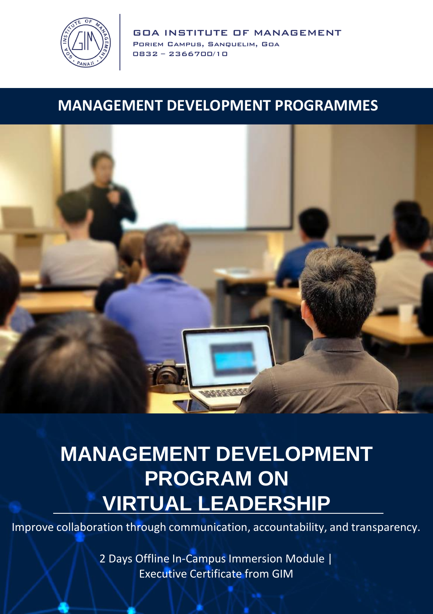

GOA INSTITUTE OF MANAGEMENT Poriem Campus, Sanquelim, Goa 0832 – 2366700/10

#### **MANAGEMENT DEVELOPMENT PROGRAMMES**



### **MANAGEMENT DEVELOPMENT PROGRAM ON VIRTUAL LEADERSHIP**

Improve collaboration through communication, accountability, and transparency.

2 Days Offline In-Campus Immersion Module | Executive Certificate from GIM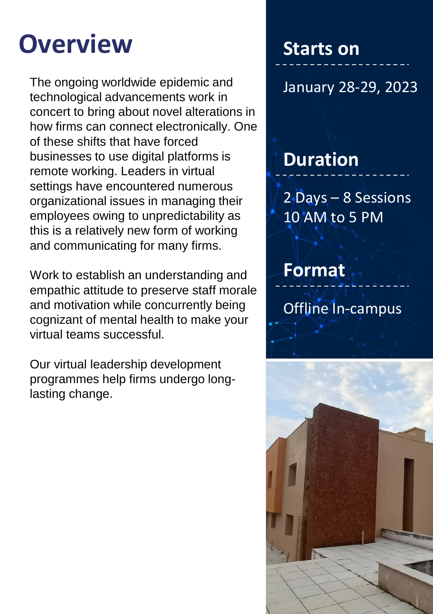# **Overview**

The ongoing worldwide epidemic and technological advancements work in concert to bring about novel alterations in how firms can connect electronically. One of these shifts that have forced businesses to use digital platforms is remote working. Leaders in virtual settings have encountered numerous organizational issues in managing their employees owing to unpredictability as this is a relatively new form of working and communicating for many firms.

Work to establish an understanding and empathic attitude to preserve staff morale and motivation while concurrently being cognizant of mental health to make your virtual teams successful.

Our virtual leadership development programmes help firms undergo longlasting change.

### **Starts on**

### January 28-29, 2023

### **Duration**

2 Days – 8 Sessions 10 AM to 5 PM

**Format** Offline In-campus

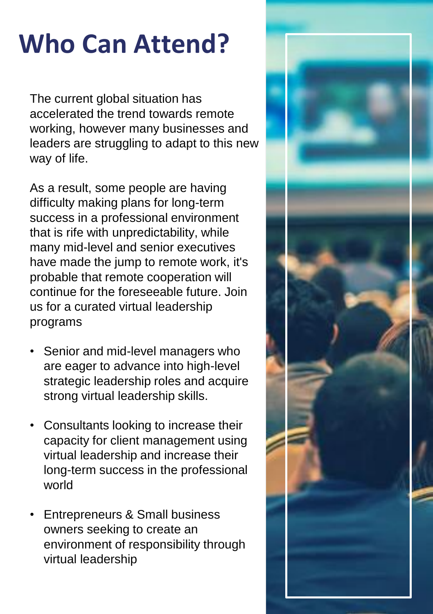# **Who Can Attend?**

The current global situation has accelerated the trend towards remote working, however many businesses and leaders are struggling to adapt to this new way of life.

As a result, some people are having difficulty making plans for long-term success in a professional environment that is rife with unpredictability, while many mid-level and senior executives have made the jump to remote work, it's probable that remote cooperation will continue for the foreseeable future. Join us for a curated virtual leadership programs

- Senior and mid-level managers who are eager to advance into high-level strategic leadership roles and acquire strong virtual leadership skills.
- Consultants looking to increase their capacity for client management using virtual leadership and increase their long-term success in the professional world
- Entrepreneurs & Small business owners seeking to create an environment of responsibility through virtual leadership

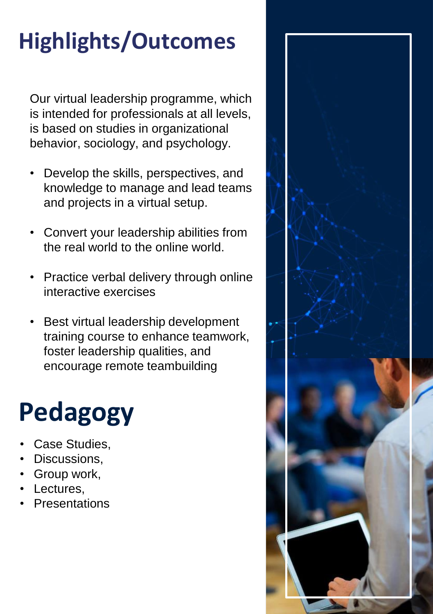## **Highlights/Outcomes**

Our virtual leadership programme, which is intended for professionals at all levels, is based on studies in organizational behavior, sociology, and psychology.

- Develop the skills, perspectives, and knowledge to manage and lead teams and projects in a virtual setup.
- Convert your leadership abilities from the real world to the online world.
- Practice verbal delivery through online interactive exercises
- Best virtual leadership development training course to enhance teamwork, foster leadership qualities, and encourage remote teambuilding

# **Pedagogy**

- Case Studies,
- Discussions.
- Group work,
- Lectures.
- **Presentations**

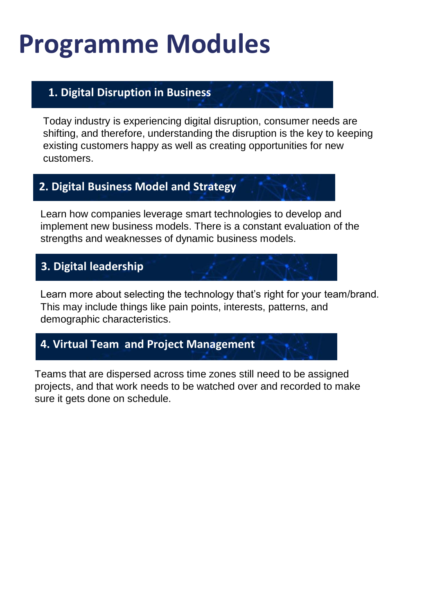## **Programme Modules**

#### **1. Digital Disruption in Business**

Today industry is experiencing digital disruption, consumer needs are shifting, and therefore, understanding the disruption is the key to keeping existing customers happy as well as creating opportunities for new customers.

#### **2. Digital Business Model and Strategy**

Learn how companies leverage smart technologies to develop and implement new business models. There is a constant evaluation of the strengths and weaknesses of dynamic business models.

#### **3. Digital leadership**

Learn more about selecting the technology that's right for your team/brand. This may include things like pain points, interests, patterns, and demographic characteristics.

#### **4. Virtual Team and Project Management**

Teams that are dispersed across time zones still need to be assigned projects, and that work needs to be watched over and recorded to make sure it gets done on schedule.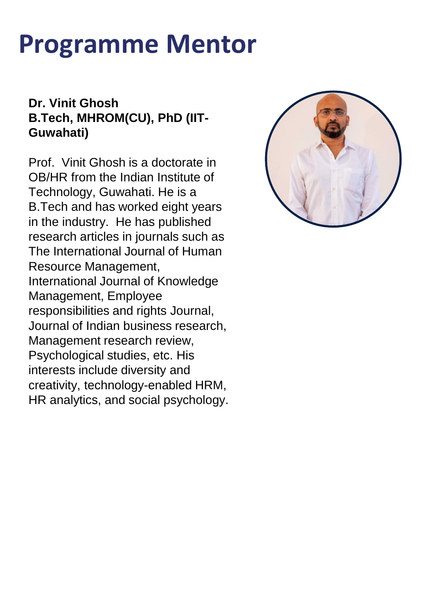## **Programme Mentor**

#### **Dr. Vinit Ghosh B.Tech, MHROM(CU), PhD (IIT-Guwahati)**

Prof. Vinit Ghosh is a doctorate in OB/HR from the Indian Institute of Technology, Guwahati. He is a B.Tech and has worked eight years in the industry. He has published research articles in journals such as The International Journal of Human Resource Management, International Journal of Knowledge Management, Employee responsibilities and rights Journal, Journal of Indian business research, Management research review, Psychological studies, etc. His interests include diversity and creativity, technology-enabled HRM, HR analytics, and social psychology.

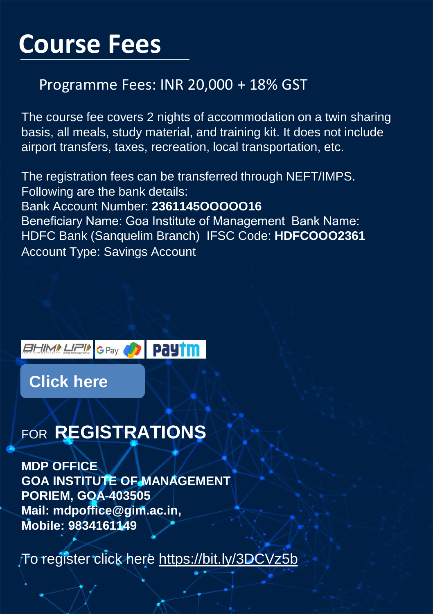## **Course Fees**

#### Programme Fees: INR 20,000 + 18% GST

The course fee covers 2 nights of accommodation on a twin sharing basis, all meals, study material, and training kit. It does not include airport transfers, taxes, recreation, local transportation, etc.

The registration fees can be transferred through NEFT/IMPS. Following are the bank details: Bank Account Number: **2361145OOOOO16**  Beneficiary Name: Goa Institute of Management Bank Name: HDFC Bank (Sanquelim Branch) IFSC Code: **HDFCOOO2361** Account Type: Savings Account



**[Click here](https://register.gim.ac.in/mdp/index.php?mdp=b6d767d2f8ed5d21a44b0e5886680cb9)**

### FOR **REGISTRATIONS**

**MDP OFFICE GOA INSTITUTE OF MANAGEMENT PORIEM, GOA-403505 Mail: mdpoffice@gim.ac.in, Mobile: 9834161149**

To register click here<https://bit.ly/3DCVz5b>